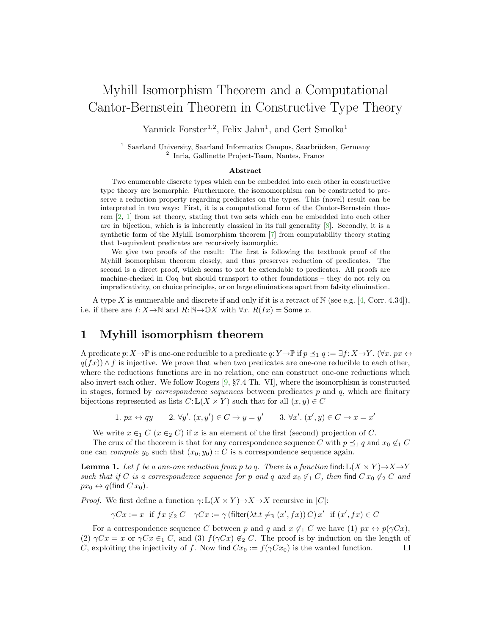# Myhill Isomorphism Theorem and a Computational Cantor-Bernstein Theorem in Constructive Type Theory

Yannick Forster<sup>1,2</sup>, Felix Jahn<sup>1</sup>, and Gert Smolka<sup>1</sup>

 $1$  Saarland University, Saarland Informatics Campus, Saarbrücken, Germany 2 Inria, Gallinette Project-Team, Nantes, France

#### Abstract

Two enumerable discrete types which can be embedded into each other in constructive type theory are isomorphic. Furthermore, the isomomorphism can be constructed to preserve a reduction property regarding predicates on the types. This (novel) result can be interpreted in two ways: First, it is a computational form of the Cantor-Bernstein theorem [\[2,](#page-2-0) [1\]](#page-2-1) from set theory, stating that two sets which can be embedded into each other are in bijection, which is is inherently classical in its full generality [\[8\]](#page-2-2). Secondly, it is a synthetic form of the Myhill isomorphism theorem [\[7\]](#page-2-3) from computability theory stating that 1-equivalent predicates are recursively isomorphic.

We give two proofs of the result: The first is following the textbook proof of the Myhill isomorphism theorem closely, and thus preserves reduction of predicates. The second is a direct proof, which seems to not be extendable to predicates. All proofs are machine-checked in Coq but should transport to other foundations – they do not rely on impredicativity, on choice principles, or on large eliminations apart from falsity elimination.

A type X is enumerable and discrete if and only if it is a retract of  $\mathbb{N}$  (see e.g. [\[4,](#page-2-4) Corr. 4.34]), i.e. if there are  $I: X \to \mathbb{N}$  and  $R: \mathbb{N} \to \mathbb{O} X$  with  $\forall x. R(Ix) =$  Some x.

### 1 Myhill isomorphism theorem

A predicate  $p: X\to \mathbb{P}$  is one-one reducible to a predicate  $q: Y\to \mathbb{P}$  if  $p\preceq_1 q := \exists f: X\to Y$ .  $(\forall x. px \leftrightarrow y)$  $q(fx) \wedge f$  is injective. We prove that when two predicates are one-one reducible to each other, where the reductions functions are in no relation, one can construct one-one reductions which also invert each other. We follow Rogers [\[9,](#page-2-5) §7.4 Th. VI], where the isomorphism is constructed in stages, formed by *correspondence sequences* between predicates  $p$  and  $q$ , which are finitary bijections represented as lists  $C: L(X \times Y)$  such that for all  $(x, y) \in C$ 

1.  $px \leftrightarrow qy$ '.  $(x, y') \in C \rightarrow y = y'$  3.  $\forall x'$ .  $(x', y) \in C \rightarrow x = x'$ 

We write  $x \in_1 C$   $(x \in_2 C)$  if x is an element of the first (second) projection of C.

The crux of the theorem is that for any correspondence sequence C with  $p \preceq_1 q$  and  $x_0 \notin_1 C$ one can *compute*  $y_0$  such that  $(x_0, y_0) :: C$  is a correspondence sequence again.

**Lemma 1.** Let f be a one-one reduction from p to q. There is a function find:  $\mathbb{L}(X \times Y) \rightarrow X \rightarrow Y$ such that if C is a correspondence sequence for p and q and  $x_0 \notin I$  C, then find  $Cx_0 \notin_2 C$  and  $px_0 \leftrightarrow q$ (find  $C x_0$ ).

*Proof.* We first define a function  $\gamma: L(X \times Y) \rightarrow X \rightarrow X$  recursive in  $|C|$ :

 $\gamma C x := x$  if  $f x \notin_2 C$   $\gamma C x := \gamma (\text{filter}(\lambda t.t \neq_{\mathbb{B}} (x', fx)) C) x'$  if  $(x', fx) \in C$ 

For a correspondence sequence C between p and q and  $x \notin I$  C we have (1)  $px \leftrightarrow p(\gamma Cx)$ , (2)  $\gamma Cx = x$  or  $\gamma Cx \in I$ , and (3)  $f(\gamma Cx) \notin I$ . The proof is by induction on the length of C, exploiting the injectivity of f. Now find  $Cx_0 := f(\gamma C x_0)$  is the wanted function.  $\Box$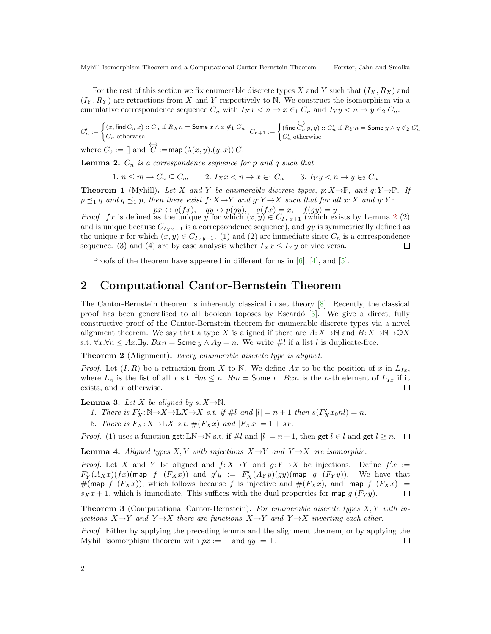Myhill Isomorphism Theorem and a Computational Cantor-Bernstein Theorem Forster, Jahn and Smolka

For the rest of this section we fix enumerable discrete types X and Y such that  $(I_X, R_X)$  and  $(I_Y, R_Y)$  are retractions from X and Y respectively to N. We construct the isomorphism via a cumulative correspondence sequence  $C_n$  with  $I_Xx < n \to x \in I$   $C_n$  and  $I_Yy < n \to y \in I$ .

$$
C'_n := \begin{cases} (x, \operatorname{find} C_n \, x) :: C_n \text{ if } R_X n = \operatorname{Some} x \wedge x \not \in_1 C_n \\ C_n \text{ otherwise} \end{cases} \quad C_{n+1} := \begin{cases} (\operatorname{find} \overleftrightarrow{C'_n} \, y, y) :: C'_n \text{ if } R_Y n = \operatorname{Some} y \wedge y \not \in_2 C'_n \\ C'_n \text{ otherwise} \end{cases}
$$

where  $C_0 := \prod$  and  $\overleftrightarrow{C} := \text{map}(\lambda(x, y), (y, x)) C$ .

<span id="page-1-0"></span>**Lemma 2.**  $C_n$  is a correspondence sequence for p and q such that

1.  $n \leq m \to C_n \subseteq C_m$  2.  $I_X x < n \to x \in_1 C_n$  3.  $I_Y y < n \to y \in_2 C_n$ 

**Theorem 1** (Myhill). Let X and Y be enumerable discrete types, p:  $X \rightarrow \mathbb{P}$ , and  $q: Y \rightarrow \mathbb{P}$ . If  $p \preceq_1 q$  and  $q \preceq_1 p$ , then there exist  $f: X \to Y$  and  $q: Y \to X$  such that for all  $x: X$  and  $y: Y$ :  $px \leftrightarrow q(fx)$ ,  $qy \leftrightarrow p(gy)$ ,  $g(fx) = x$ ,  $f(gy) = y$ 

*Proof.* fx is defined as the unique y for which  $(x, y) \in C_{I_x}$ <sub>x</sub>+1 (which exists by Lemma [2](#page-1-0) (2) and is unique because  $C_{I_x,x+1}$  is a correpsondence sequence), and gy is symmetrically defined as the unique x for which  $(x, y) \in C_{I_Y y+1}$ . (1) and (2) are immediate since  $C_n$  is a correspondence sequence. (3) and (4) are by case analysis whether  $I_X x \leq I_Y y$  or vice versa. П

Proofs of the theorem have appeared in different forms in [\[6\]](#page-2-6), [\[4\]](#page-2-4), and [\[5\]](#page-2-7).

#### 2 Computational Cantor-Bernstein Theorem

The Cantor-Bernstein theorem is inherently classical in set theory [\[8\]](#page-2-2). Recently, the classical proof has been generalised to all boolean toposes by Escardó  $[3]$ . We give a direct, fully constructive proof of the Cantor-Bernstein theorem for enumerable discrete types via a novel alignment theorem. We say that a type X is aligned if there are  $A: X \to \mathbb{N}$  and  $B: X \to \mathbb{N} \to \mathbb{Q}X$ s.t.  $\forall x.\forall n \leq Ax.\exists y. Bxn =$  Some  $y \land Ay = n$ . We write #l if a list l is duplicate-free.

Theorem 2 (Alignment). Every enumerable discrete type is aligned.

*Proof.* Let  $(I, R)$  be a retraction from X to N. We define Ax to be the position of x in  $L_{Ix}$ , where  $L_n$  is the list of all x s.t.  $\exists m \leq n$ .  $Rm =$  Some x.  $Bxn$  is the n-th element of  $L_{Ix}$  if it exists, and  $x$  otherwise.  $\Box$ 

**Lemma 3.** Let X be aligned by  $s: X \to \mathbb{N}$ .

- 1. There is  $F'_X : \mathbb{N} \to X \to \mathbb{L}X \to X$  s.t. if  $\#l$  and  $|l| = n + 1$  then  $s(F'_X x_0 n l) = n$ .
- 2. There is  $F_X: X \to \mathbb{L}X$  s.t.  $\#(F_Xx)$  and  $|F_Xx| = 1 + sx$ .

*Proof.* (1) uses a function get: LN→N s.t. if  $\#l$  and  $|l| = n+1$ , then get  $l \in l$  and get  $l \geq n$ .  $\Box$ 

**Lemma 4.** Aligned types X, Y with injections  $X \rightarrow Y$  and  $Y \rightarrow X$  are isomorphic.

*Proof.* Let X and Y be aligned and  $f: X \to Y$  and  $g: Y \to X$  be injections. Define  $f'x :=$  $F'_Y(A_Xx)(fx)$ (map f  $(F_Xx)$ ) and  $g'y := F'_X(A_Yy)(gy)$ (map g  $(F_Yy)$ ). We have that #(map f  $(F_Xx)$ ), which follows because f is injective and  $#(F_Xx)$ , and  $\text{map } f(F_Xx)$  =  $s_Xx + 1$ , which is immediate. This suffices with the dual properties for map  $g(F_Y y)$ .  $\Box$ 

**Theorem 3** (Computational Cantor-Bernstein). For enumerable discrete types  $X, Y$  with injections  $X \rightarrow Y$  and  $Y \rightarrow X$  there are functions  $X \rightarrow Y$  and  $Y \rightarrow X$  inverting each other.

Proof. Either by applying the preceding lemma and the alignment theorem, or by applying the Myhill isomorphism theorem with  $px := \top$  and  $qy := \top$ . П